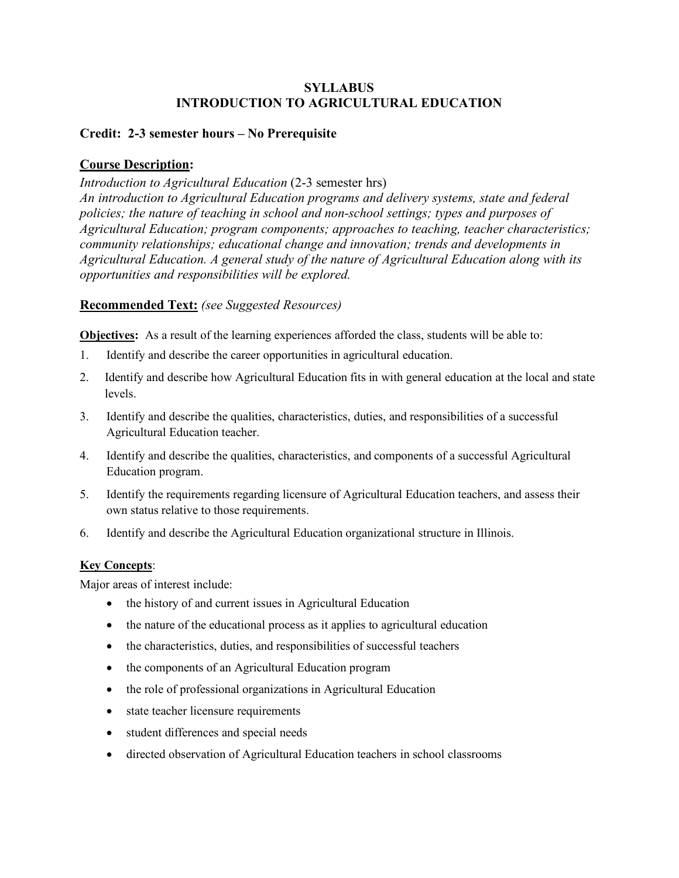# **SYLLABUS INTRODUCTION TO AGRICULTURAL EDUCATION**

## **Credit: 2-3 semester hours – No Prerequisite**

# **Course Description:**

## *Introduction to Agricultural Education* (2-3 semester hrs)

*An introduction to Agricultural Education programs and delivery systems, state and federal policies; the nature of teaching in school and non-school settings; types and purposes of Agricultural Education; program components; approaches to teaching, teacher characteristics; community relationships; educational change and innovation; trends and developments in Agricultural Education. A general study of the nature of Agricultural Education along with its opportunities and responsibilities will be explored.* 

# **Recommended Text:** *(see Suggested Resources)*

**Objectives:** As a result of the learning experiences afforded the class, students will be able to:

- 1. Identify and describe the career opportunities in agricultural education.
- 2. Identify and describe how Agricultural Education fits in with general education at the local and state levels.
- 3. Identify and describe the qualities, characteristics, duties, and responsibilities of a successful Agricultural Education teacher.
- 4. Identify and describe the qualities, characteristics, and components of a successful Agricultural Education program.
- 5. Identify the requirements regarding licensure of Agricultural Education teachers, and assess their own status relative to those requirements.
- 6. Identify and describe the Agricultural Education organizational structure in Illinois.

## **Key Concepts**:

Major areas of interest include:

- the history of and current issues in Agricultural Education
- the nature of the educational process as it applies to agricultural education
- the characteristics, duties, and responsibilities of successful teachers
- the components of an Agricultural Education program
- the role of professional organizations in Agricultural Education
- state teacher licensure requirements
- student differences and special needs
- directed observation of Agricultural Education teachers in school classrooms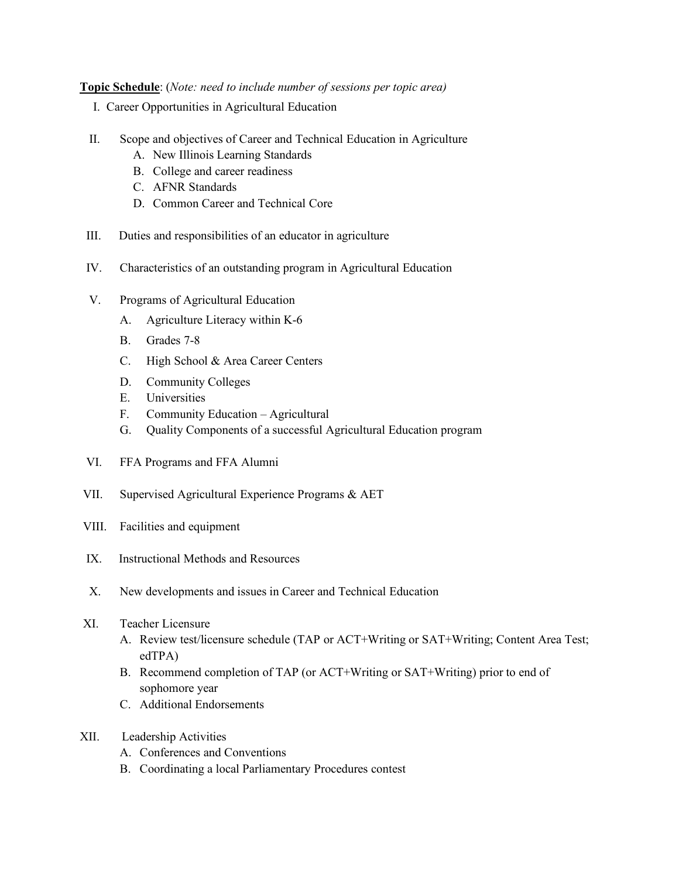### **Topic Schedule**: (*Note: need to include number of sessions per topic area)*

- I. Career Opportunities in Agricultural Education
- II. Scope and objectives of Career and Technical Education in Agriculture
	- A. New Illinois Learning Standards
	- B. College and career readiness
	- C. AFNR Standards
	- D. Common Career and Technical Core
- III. Duties and responsibilities of an educator in agriculture
- IV. Characteristics of an outstanding program in Agricultural Education
- V. Programs of Agricultural Education
	- A. Agriculture Literacy within K-6
	- B. Grades 7-8
	- C. High School & Area Career Centers
	- D. Community Colleges
	- E. Universities
	- F. Community Education Agricultural
	- G. Quality Components of a successful Agricultural Education program
- VI. FFA Programs and FFA Alumni
- VII. Supervised Agricultural Experience Programs & AET
- VIII. Facilities and equipment
- IX. Instructional Methods and Resources
- X. New developments and issues in Career and Technical Education
- XI. Teacher Licensure
	- A. Review test/licensure schedule (TAP or ACT+Writing or SAT+Writing; Content Area Test; edTPA)
	- B. Recommend completion of TAP (or ACT+Writing or SAT+Writing) prior to end of sophomore year
	- C. Additional Endorsements
- XII. Leadership Activities
	- A. Conferences and Conventions
	- B. Coordinating a local Parliamentary Procedures contest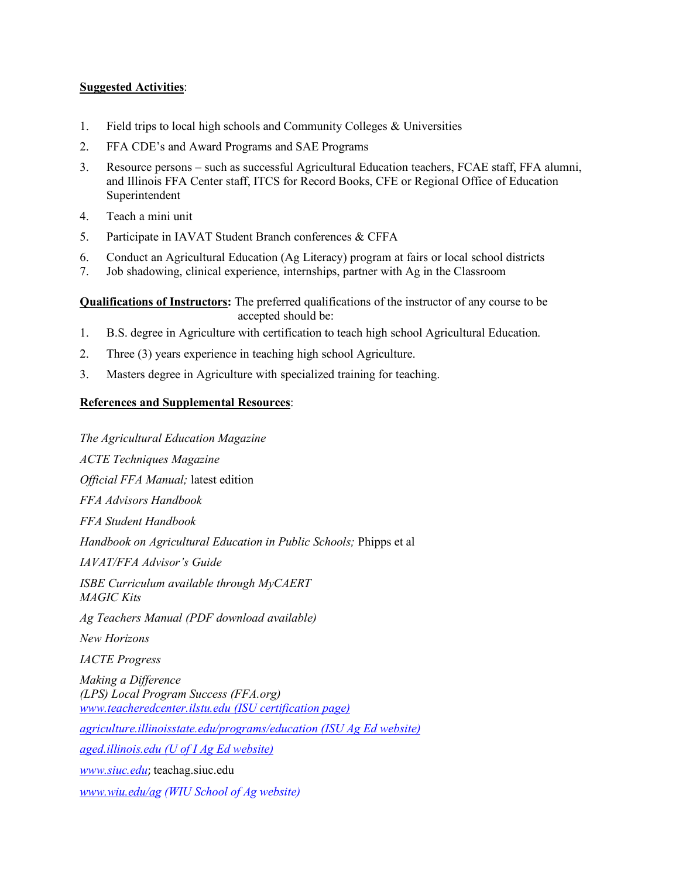## **Suggested Activities**:

- 1. Field trips to local high schools and Community Colleges & Universities
- 2. FFA CDE's and Award Programs and SAE Programs
- 3. Resource persons such as successful Agricultural Education teachers, FCAE staff, FFA alumni, and Illinois FFA Center staff, ITCS for Record Books, CFE or Regional Office of Education Superintendent
- 4. Teach a mini unit
- 5. Participate in IAVAT Student Branch conferences & CFFA
- 6. Conduct an Agricultural Education (Ag Literacy) program at fairs or local school districts
- 7. Job shadowing, clinical experience, internships, partner with Ag in the Classroom

**Qualifications of Instructors:** The preferred qualifications of the instructor of any course to be accepted should be:

- 1. B.S. degree in Agriculture with certification to teach high school Agricultural Education.
- 2. Three (3) years experience in teaching high school Agriculture.
- 3. Masters degree in Agriculture with specialized training for teaching.

## **References and Supplemental Resources**:

*The Agricultural Education Magazine ACTE Techniques Magazine Official FFA Manual;* latest edition *FFA Advisors Handbook FFA Student Handbook Handbook on Agricultural Education in Public Schools;* Phipps et al *IAVAT/FFA Advisor's Guide ISBE Curriculum available through MyCAERT MAGIC Kits Ag Teachers Manual (PDF download available) New Horizons IACTE Progress Making a Difference (LPS) Local Program Success (FFA.org) www.teacheredcenter.ilstu.edu (ISU certification page) agriculture.illinoisstate.edu/programs/education (ISU Ag Ed website) aged.illinois.edu (U of I Ag Ed website) www.siuc.edu*; teachag.siuc.edu *www.wiu.edu/ag (WIU School of Ag website)*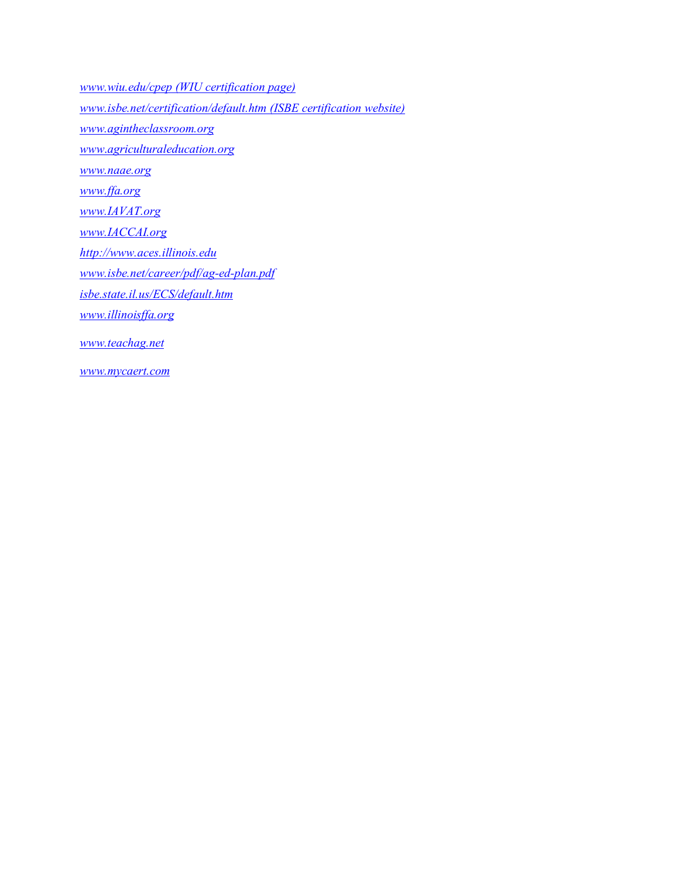*www.wiu.edu/cpep (WIU certification page) www.isbe.net/certification/default.htm (ISBE certification website) www.agintheclassroom.org www*.*agriculturaleducation.org www.naae.org www.ffa.org www.IAVAT.org www.IACCAI.org http://www.aces.illinois.edu www.isbe.net/career/pdf/ag-ed-plan.pdf isbe.state.il.us/ECS/default.htm www.illinoisffa.org www.teachag.net*

*www.mycaert.com*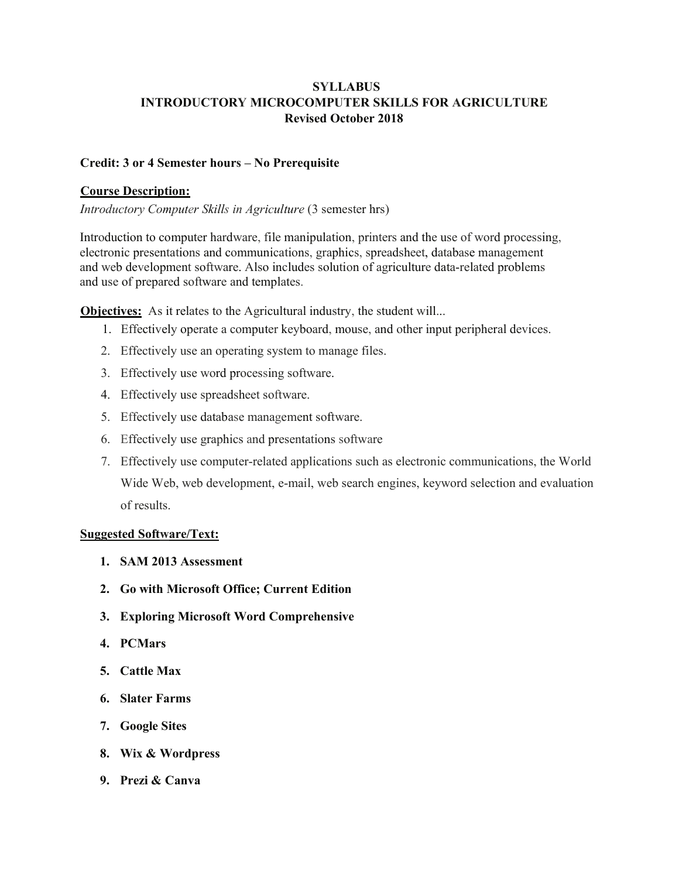# **SYLLABUS INTRODUCTORY MICROCOMPUTER SKILLS FOR AGRICULTURE Revised October 2018**

## **Credit: 3 or 4 Semester hours – No Prerequisite**

## **Course Description:**

*Introductory Computer Skills in Agriculture* (3 semester hrs)

Introduction to computer hardware, file manipulation, printers and the use of word processing, electronic presentations and communications, graphics, spreadsheet, database management and web development software. Also includes solution of agriculture data-related problems and use of prepared software and templates.

**Objectives:** As it relates to the Agricultural industry, the student will...

- 1. Effectively operate a computer keyboard, mouse, and other input peripheral devices.
- 2. Effectively use an operating system to manage files.
- 3. Effectively use word processing software.
- 4. Effectively use spreadsheet software.
- 5. Effectively use database management software.
- 6. Effectively use graphics and presentations software
- 7. Effectively use computer-related applications such as electronic communications, the World Wide Web, web development, e-mail, web search engines, keyword selection and evaluation of results.

#### **Suggested Software/Text:**

- **1. SAM 2013 Assessment**
- **2. Go with Microsoft Office; Current Edition**
- **3. Exploring Microsoft Word Comprehensive**
- **4. PCMars**
- **5. Cattle Max**
- **6. Slater Farms**
- **7. Google Sites**
- **8. Wix & Wordpress**
- **9. Prezi & Canva**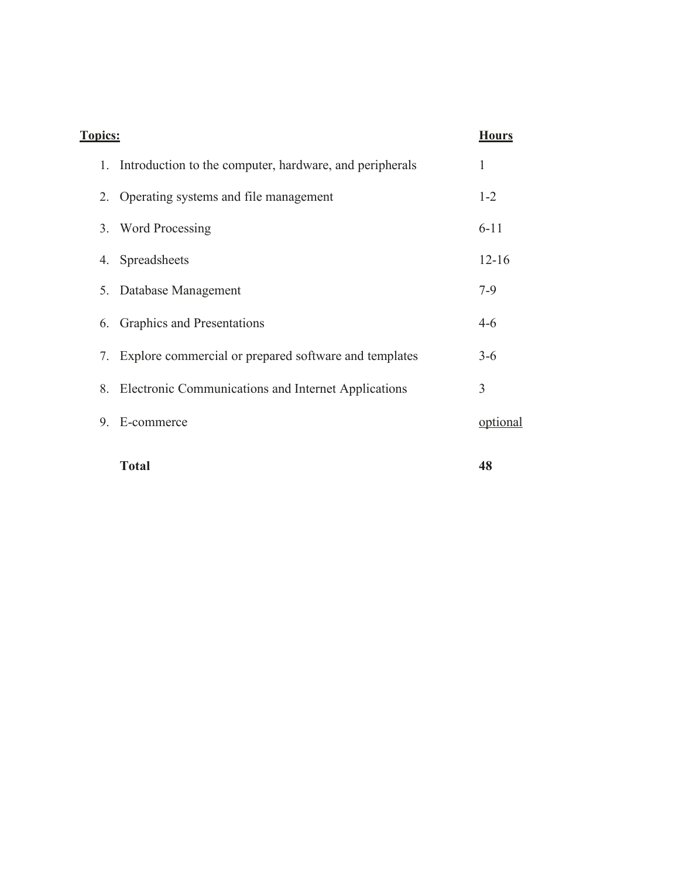| <b>Topics:</b> |                                                         | <b>Hours</b> |
|----------------|---------------------------------------------------------|--------------|
| 1.             | Introduction to the computer, hardware, and peripherals | 1            |
|                | 2. Operating systems and file management                | $1 - 2$      |
|                | 3. Word Processing                                      | $6 - 11$     |
|                | 4. Spreadsheets                                         | $12 - 16$    |
| 5.             | Database Management                                     | $7-9$        |
| 6.             | Graphics and Presentations                              | $4-6$        |
| 7.             | Explore commercial or prepared software and templates   | $3-6$        |
| 8.             | Electronic Communications and Internet Applications     | 3            |
| 9.             | E-commerce                                              | optional     |
|                | <b>Total</b>                                            | 48           |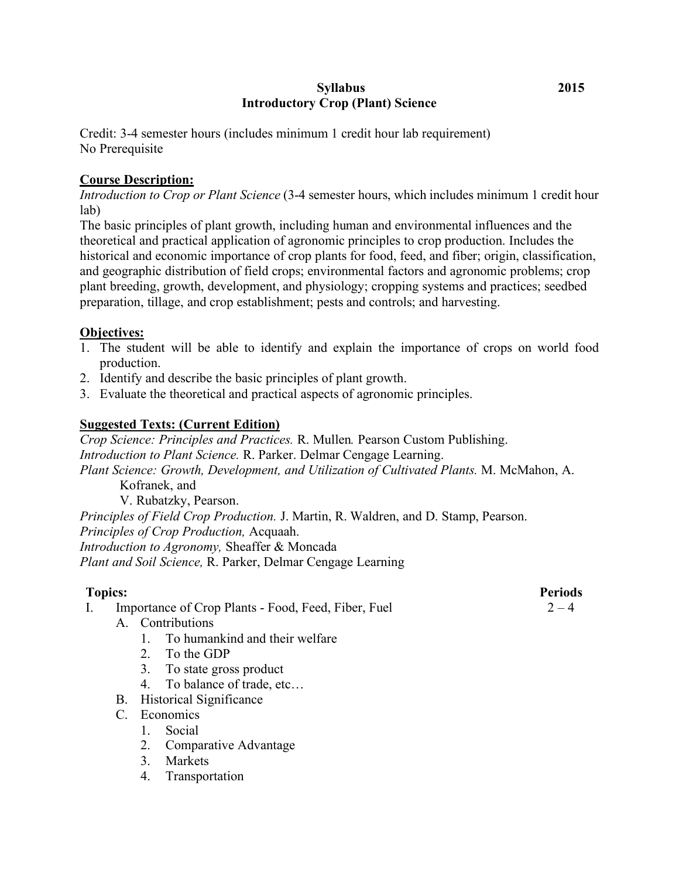# **Syllabus 2015 Introductory Crop (Plant) Science**

Credit: 3-4 semester hours (includes minimum 1 credit hour lab requirement) No Prerequisite

# **Course Description:**

*Introduction to Crop or Plant Science* (3-4 semester hours, which includes minimum 1 credit hour lab)

The basic principles of plant growth, including human and environmental influences and the theoretical and practical application of agronomic principles to crop production. Includes the historical and economic importance of crop plants for food, feed, and fiber; origin, classification, and geographic distribution of field crops; environmental factors and agronomic problems; crop plant breeding, growth, development, and physiology; cropping systems and practices; seedbed preparation, tillage, and crop establishment; pests and controls; and harvesting.

# **Objectives:**

- 1. The student will be able to identify and explain the importance of crops on world food production.
- 2. Identify and describe the basic principles of plant growth.
- 3. Evaluate the theoretical and practical aspects of agronomic principles.

# **Suggested Texts: (Current Edition)**

*Crop Science: Principles and Practices.* R. Mullen*.* Pearson Custom Publishing. *Introduction to Plant Science.* R. Parker. Delmar Cengage Learning. *Plant Science: Growth, Development, and Utilization of Cultivated Plants.* M. McMahon, A. Kofranek, and V. Rubatzky, Pearson. *Principles of Field Crop Production.* J. Martin, R. Waldren, and D. Stamp, Pearson. *Principles of Crop Production,* Acquaah. *Introduction to Agronomy,* Sheaffer & Moncada *Plant and Soil Science,* R. Parker, Delmar Cengage Learning

# **Topics: Periods**

- I. Importance of Crop Plants Food, Feed, Fiber, Fuel  $2-4$ 
	- A. Contributions
		- 1. To humankind and their welfare
		- 2. To the GDP
		- 3. To state gross product
		- 4. To balance of trade, etc…
	- B. Historical Significance
	- C. Economics
		- 1. Social
		- 2. Comparative Advantage
		- 3. Markets
		- 4. Transportation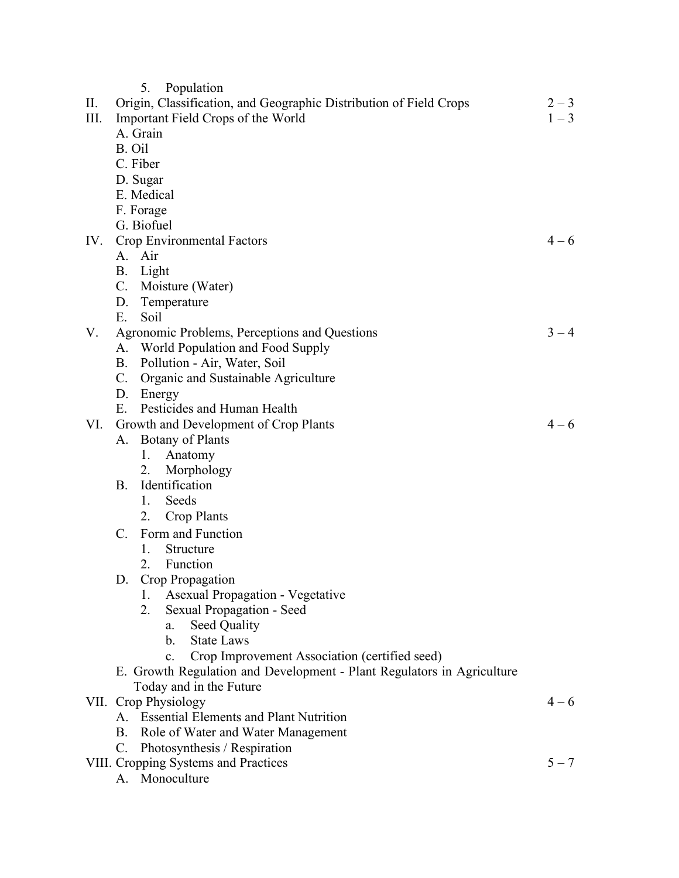|      | Population<br>5.                                                       |         |
|------|------------------------------------------------------------------------|---------|
| II.  | Origin, Classification, and Geographic Distribution of Field Crops     | $2 - 3$ |
| III. | Important Field Crops of the World                                     | $1 - 3$ |
|      | A. Grain                                                               |         |
|      | B. Oil                                                                 |         |
|      | C. Fiber                                                               |         |
|      | D. Sugar                                                               |         |
|      | E. Medical                                                             |         |
|      | F. Forage                                                              |         |
|      | G. Biofuel                                                             |         |
|      | IV. Crop Environmental Factors                                         | $4 - 6$ |
|      | A. Air                                                                 |         |
|      | B.<br>Light                                                            |         |
|      | Moisture (Water)<br>$C_{\cdot}$                                        |         |
|      | Temperature<br>D.                                                      |         |
|      | E.<br>Soil                                                             |         |
| V.   | Agronomic Problems, Perceptions and Questions                          | $3 - 4$ |
|      | World Population and Food Supply<br>A.                                 |         |
|      | Pollution - Air, Water, Soil<br>B.                                     |         |
|      | Organic and Sustainable Agriculture<br>$\mathbf{C}$ .                  |         |
|      | D.<br>Energy                                                           |         |
|      | Pesticides and Human Health<br>$E_{\perp}$                             |         |
| VI.  | Growth and Development of Crop Plants                                  | $4 - 6$ |
|      | A. Botany of Plants                                                    |         |
|      | Anatomy<br>1.                                                          |         |
|      | Morphology<br>2.                                                       |         |
|      | Identification<br>B <sub>r</sub>                                       |         |
|      | Seeds<br>1.                                                            |         |
|      | Crop Plants<br>2.                                                      |         |
|      | Form and Function<br>$C_{-}$                                           |         |
|      | 1.<br>Structure                                                        |         |
|      | Function<br>2.                                                         |         |
|      | Crop Propagation<br>D.                                                 |         |
|      | <b>Asexual Propagation - Vegetative</b><br>$\mathbf{I}_{\star}$        |         |
|      | Sexual Propagation - Seed<br>2.                                        |         |
|      | Seed Quality<br>a.                                                     |         |
|      | <b>State Laws</b><br>b.                                                |         |
|      | Crop Improvement Association (certified seed)<br>$\mathbf{c}$ .        |         |
|      | E. Growth Regulation and Development - Plant Regulators in Agriculture |         |
|      | Today and in the Future                                                |         |
|      | VII. Crop Physiology                                                   | $4 - 6$ |
|      | A. Essential Elements and Plant Nutrition                              |         |
|      | B. Role of Water and Water Management                                  |         |
|      | C. Photosynthesis / Respiration                                        |         |
|      | VIII. Cropping Systems and Practices                                   | $5 - 7$ |
|      | A. Monoculture                                                         |         |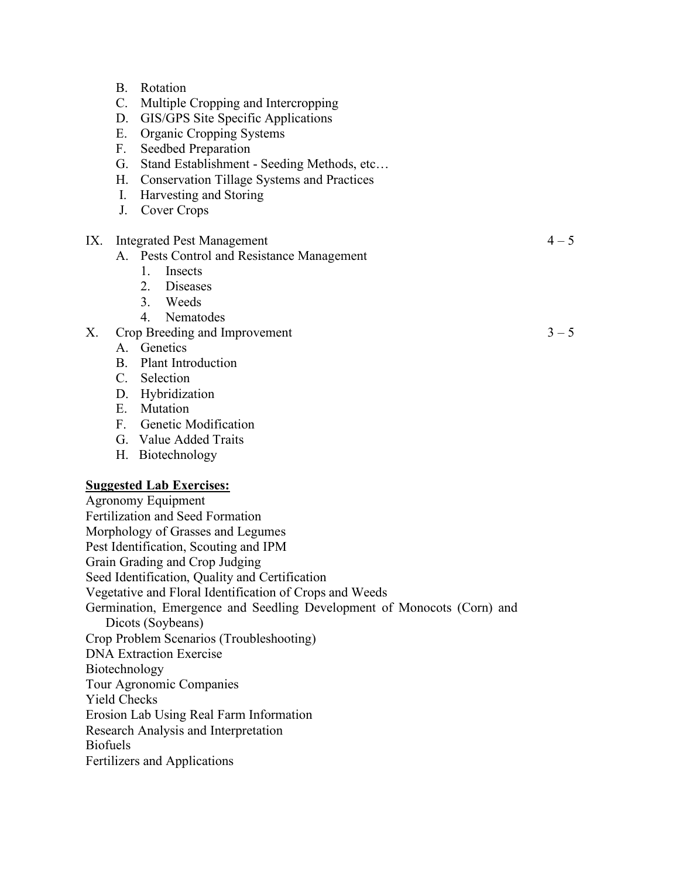|     | B. | Rotation                                      |  |
|-----|----|-----------------------------------------------|--|
|     |    | C. Multiple Cropping and Intercropping        |  |
|     |    | D. GIS/GPS Site Specific Applications         |  |
|     | Е. | <b>Organic Cropping Systems</b>               |  |
|     | F. | Seedbed Preparation                           |  |
|     |    | G. Stand Establishment - Seeding Methods, etc |  |
|     |    | H. Conservation Tillage Systems and Practices |  |
|     |    | I. Harvesting and Storing                     |  |
|     |    | J. Cover Crops                                |  |
|     |    |                                               |  |
| IX. |    | <b>Integrated Pest Management</b>             |  |

- A. Pests Control and Resistance Management
	- 1. Insects
	- 2. Diseases
	- 3. Weeds
	- 4. Nematodes
- X. Crop Breeding and Improvement  $3-5$ 
	- A. Genetics
	- B. Plant Introduction
	- C. Selection
	- D. Hybridization
	- E. Mutation
	- F. Genetic Modification
	- G. Value Added Traits
	- H. Biotechnology

#### **Suggested Lab Exercises:**

Agronomy Equipment Fertilization and Seed Formation Morphology of Grasses and Legumes Pest Identification, Scouting and IPM Grain Grading and Crop Judging Seed Identification, Quality and Certification Vegetative and Floral Identification of Crops and Weeds Germination, Emergence and Seedling Development of Monocots (Corn) and Dicots (Soybeans) Crop Problem Scenarios (Troubleshooting) DNA Extraction Exercise Biotechnology Tour Agronomic Companies Yield Checks Erosion Lab Using Real Farm Information Research Analysis and Interpretation Biofuels Fertilizers and Applications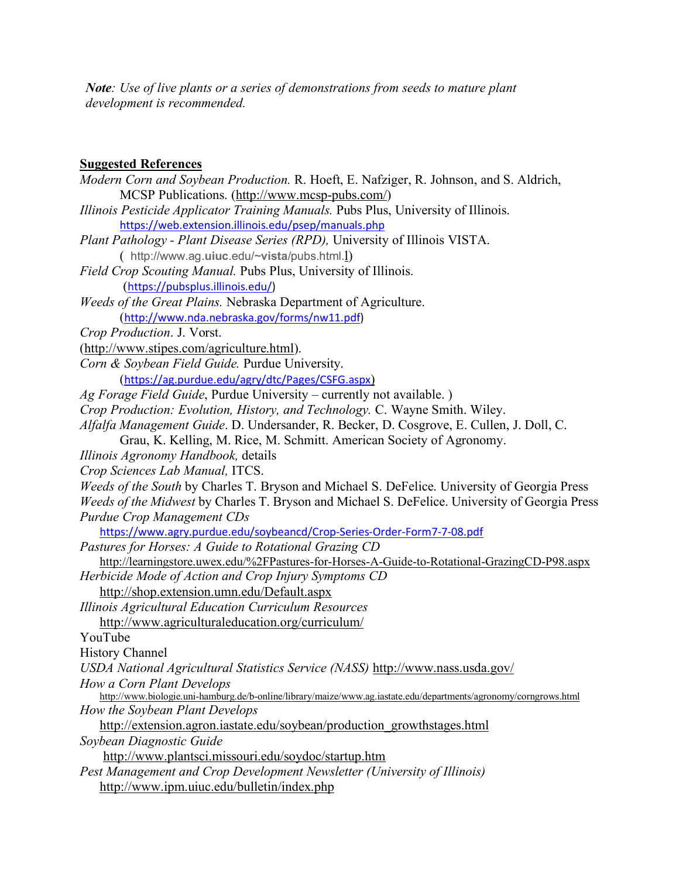*Note: Use of live plants or a series of demonstrations from seeds to mature plant development is recommended.*

# **Suggested References**

| Modern Corn and Soybean Production. R. Hoeft, E. Nafziger, R. Johnson, and S. Aldrich,                           |
|------------------------------------------------------------------------------------------------------------------|
| MCSP Publications. (http://www.mcsp-pubs.com/)                                                                   |
| Illinois Pesticide Applicator Training Manuals. Pubs Plus, University of Illinois.                               |
| https://web.extension.illinois.edu/psep/manuals.php                                                              |
| Plant Pathology - Plant Disease Series (RPD), University of Illinois VISTA.                                      |
| $($ http://www.ag.uiuc.edu/~vista/pubs.html. $\underline{1}$ )                                                   |
| Field Crop Scouting Manual. Pubs Plus, University of Illinois.                                                   |
| (https://pubsplus.illinois.edu/)                                                                                 |
| Weeds of the Great Plains. Nebraska Department of Agriculture.                                                   |
| (http://www.nda.nebraska.gov/forms/nw11.pdf)                                                                     |
| Crop Production. J. Vorst.                                                                                       |
| (http://www.stipes.com/agriculture.html).                                                                        |
| Corn & Soybean Field Guide. Purdue University.                                                                   |
| (https://ag.purdue.edu/agry/dtc/Pages/CSFG.aspx)                                                                 |
| Ag Forage Field Guide, Purdue University – currently not available.)                                             |
| Crop Production: Evolution, History, and Technology. C. Wayne Smith. Wiley.                                      |
| Alfalfa Management Guide. D. Undersander, R. Becker, D. Cosgrove, E. Cullen, J. Doll, C.                         |
| Grau, K. Kelling, M. Rice, M. Schmitt. American Society of Agronomy.                                             |
| Illinois Agronomy Handbook, details                                                                              |
| Crop Sciences Lab Manual, ITCS.                                                                                  |
| Weeds of the South by Charles T. Bryson and Michael S. DeFelice. University of Georgia Press                     |
| Weeds of the Midwest by Charles T. Bryson and Michael S. DeFelice. University of Georgia Press                   |
| <b>Purdue Crop Management CDs</b>                                                                                |
| https://www.agry.purdue.edu/soybeancd/Crop-Series-Order-Form7-7-08.pdf                                           |
| Pastures for Horses: A Guide to Rotational Grazing CD                                                            |
| http://learningstore.uwex.edu/%2FPastures-for-Horses-A-Guide-to-Rotational-GrazingCD-P98.aspx                    |
| Herbicide Mode of Action and Crop Injury Symptoms CD                                                             |
| http://shop.extension.umn.edu/Default.aspx                                                                       |
| Illinois Agricultural Education Curriculum Resources                                                             |
| http://www.agriculturaleducation.org/curriculum/                                                                 |
| YouTube                                                                                                          |
| <b>History Channel</b>                                                                                           |
| USDA National Agricultural Statistics Service (NASS) http://www.nass.usda.gov/                                   |
| How a Corn Plant Develops                                                                                        |
| http://www.biologie.uni-hamburg.de/b-online/library/maize/www.ag.iastate.edu/departments/agronomy/corngrows.html |
| How the Soybean Plant Develops                                                                                   |
| http://extension.agron.iastate.edu/soybean/production_growthstages.html                                          |
| Soybean Diagnostic Guide                                                                                         |
| http://www.plantsci.missouri.edu/soydoc/startup.htm                                                              |
| Pest Management and Crop Development Newsletter (University of Illinois)                                         |
| http://www.ipm.uiuc.edu/bulletin/index.php                                                                       |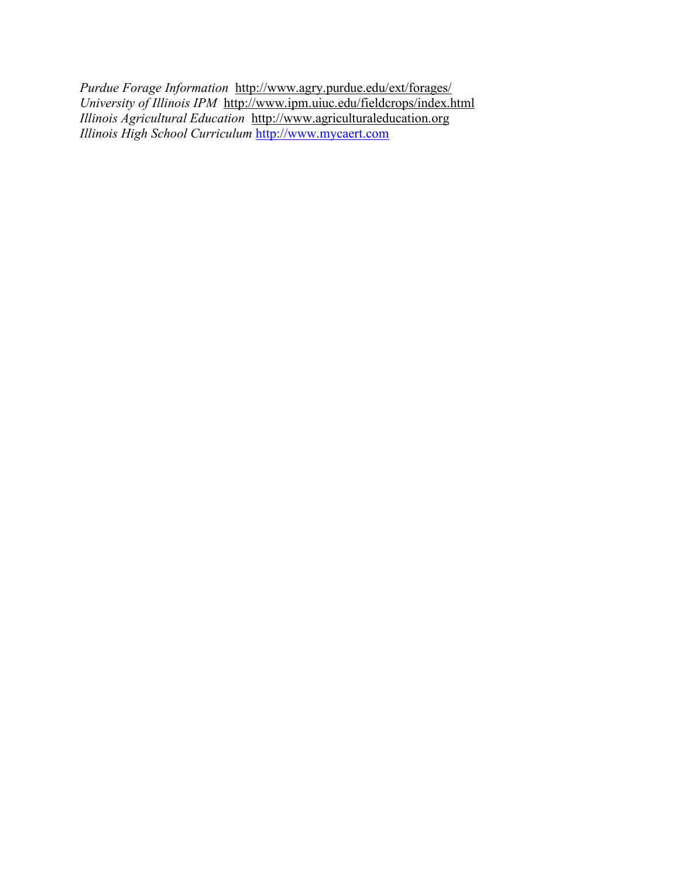*Purdue Forage Information* http://www.agry.purdue.edu/ext/forages/ *University of Illinois IPM* http://www.ipm.uiuc.edu/fieldcrops/index.html *Illinois Agricultural Education* http://www.agriculturaleducation.org *Illinois High School Curriculum* http://www.mycaert.com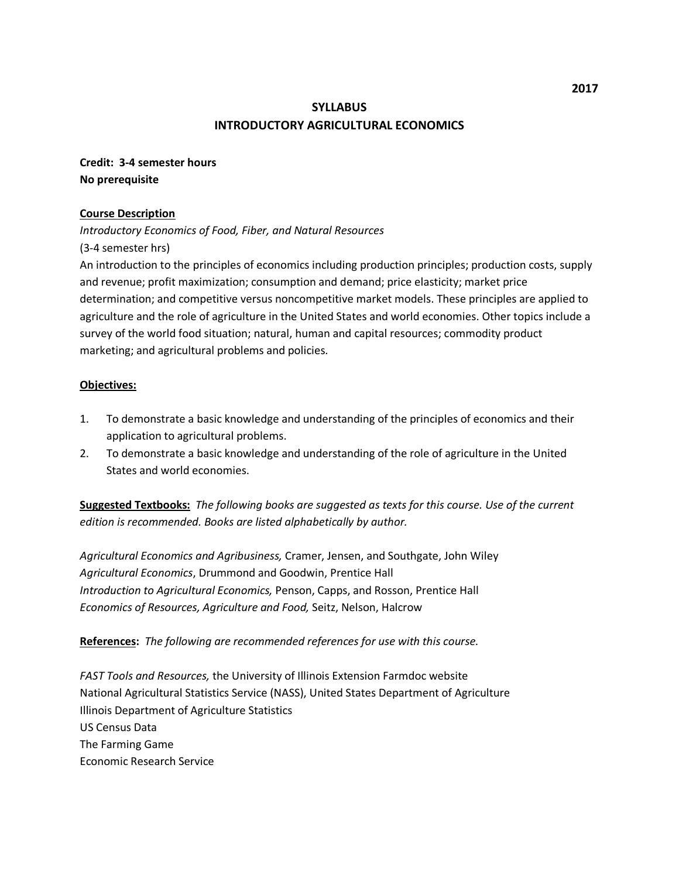# **SYLLABUS INTRODUCTORY AGRICULTURAL ECONOMICS**

**Credit: 3-4 semester hours No prerequisite**

### **Course Description**

*Introductory Economics of Food, Fiber, and Natural Resources* (3-4 semester hrs)

An introduction to the principles of economics including production principles; production costs, supply and revenue; profit maximization; consumption and demand; price elasticity; market price determination; and competitive versus noncompetitive market models. These principles are applied to agriculture and the role of agriculture in the United States and world economies. Other topics include a survey of the world food situation; natural, human and capital resources; commodity product marketing; and agricultural problems and policies.

## **Objectives:**

- 1. To demonstrate a basic knowledge and understanding of the principles of economics and their application to agricultural problems.
- 2. To demonstrate a basic knowledge and understanding of the role of agriculture in the United States and world economies.

**Suggested Textbooks:** *The following books are suggested as texts for this course. Use of the current edition is recommended. Books are listed alphabetically by author.*

*Agricultural Economics and Agribusiness,* Cramer, Jensen, and Southgate, John Wiley *Agricultural Economics*, Drummond and Goodwin, Prentice Hall *Introduction to Agricultural Economics,* Penson, Capps, and Rosson, Prentice Hall *Economics of Resources, Agriculture and Food,* Seitz, Nelson, Halcrow

**References:** *The following are recommended references for use with this course.*

*FAST Tools and Resources,* the University of Illinois Extension Farmdoc website National Agricultural Statistics Service (NASS), United States Department of Agriculture Illinois Department of Agriculture Statistics US Census Data The Farming Game Economic Research Service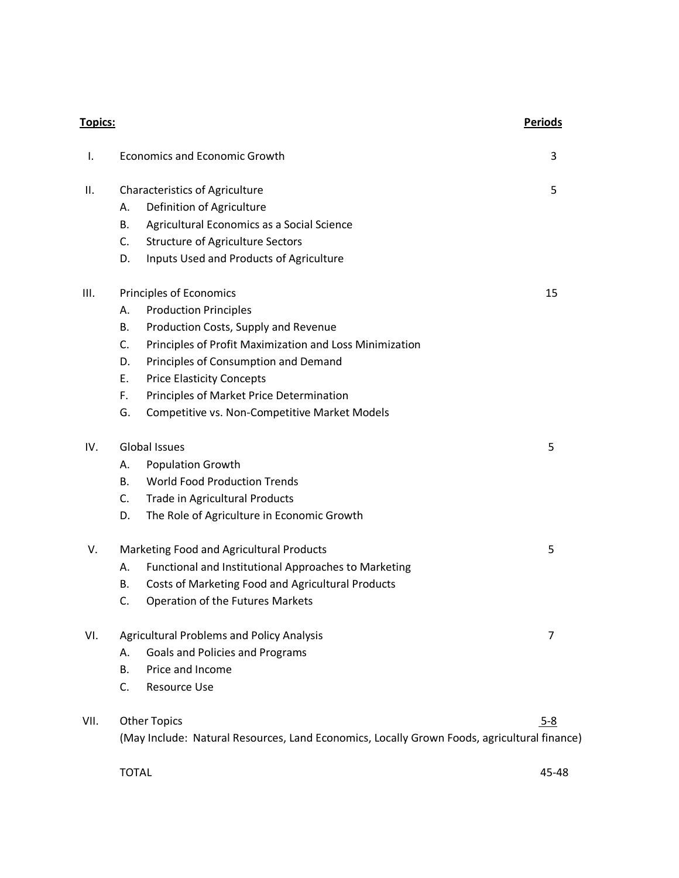| Topics: |                                                                                             | <b>Periods</b> |
|---------|---------------------------------------------------------------------------------------------|----------------|
| Τ.      | <b>Economics and Economic Growth</b>                                                        | 3              |
| Ш.      | <b>Characteristics of Agriculture</b>                                                       | 5              |
|         | Definition of Agriculture<br>Α.                                                             |                |
|         | Agricultural Economics as a Social Science<br>В.                                            |                |
|         | <b>Structure of Agriculture Sectors</b><br>C.                                               |                |
|         | Inputs Used and Products of Agriculture<br>D.                                               |                |
| III.    | Principles of Economics                                                                     | 15             |
|         | <b>Production Principles</b><br>А.                                                          |                |
|         | Production Costs, Supply and Revenue<br>В.                                                  |                |
|         | Principles of Profit Maximization and Loss Minimization<br>C.                               |                |
|         | D.<br>Principles of Consumption and Demand                                                  |                |
|         | Ε.<br><b>Price Elasticity Concepts</b>                                                      |                |
|         | Principles of Market Price Determination<br>F.                                              |                |
|         | G.<br>Competitive vs. Non-Competitive Market Models                                         |                |
| IV.     | <b>Global Issues</b>                                                                        | 5              |
|         | <b>Population Growth</b><br>А.                                                              |                |
|         | <b>World Food Production Trends</b><br><b>B.</b>                                            |                |
|         | C.<br>Trade in Agricultural Products                                                        |                |
|         | D.<br>The Role of Agriculture in Economic Growth                                            |                |
| V.      | Marketing Food and Agricultural Products                                                    | 5              |
|         | Functional and Institutional Approaches to Marketing<br>Α.                                  |                |
|         | Costs of Marketing Food and Agricultural Products<br>В.                                     |                |
|         | <b>Operation of the Futures Markets</b><br>C.                                               |                |
| VI.     | <b>Agricultural Problems and Policy Analysis</b>                                            | 7              |
|         | <b>Goals and Policies and Programs</b><br>А.                                                |                |
|         | Price and Income<br>В.                                                                      |                |
|         | C.<br><b>Resource Use</b>                                                                   |                |
| VII.    | <b>Other Topics</b>                                                                         | $5 - 8$        |
|         | (May Include: Natural Resources, Land Economics, Locally Grown Foods, agricultural finance) |                |

TOTAL 45-48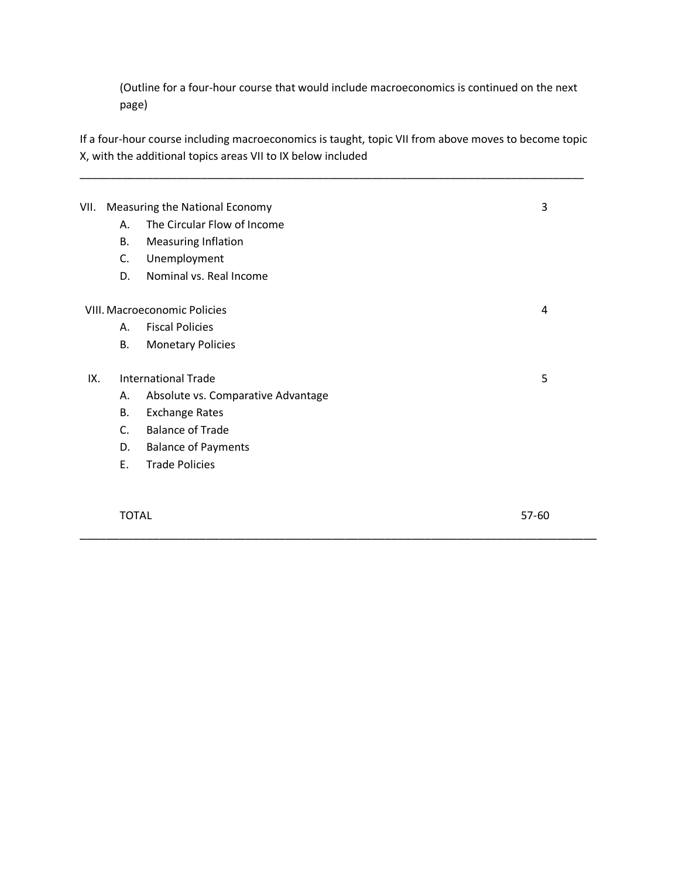(Outline for a four-hour course that would include macroeconomics is continued on the next page)

If a four-hour course including macroeconomics is taught, topic VII from above moves to become topic X, with the additional topics areas VII to IX below included

\_\_\_\_\_\_\_\_\_\_\_\_\_\_\_\_\_\_\_\_\_\_\_\_\_\_\_\_\_\_\_\_\_\_\_\_\_\_\_\_\_\_\_\_\_\_\_\_\_\_\_\_\_\_\_\_\_\_\_\_\_\_\_\_\_\_\_\_\_\_\_\_\_\_\_\_\_\_\_\_\_\_\_

| VII.                              |                | Measuring the National Economy      | 3     |
|-----------------------------------|----------------|-------------------------------------|-------|
|                                   | Α.             | The Circular Flow of Income         |       |
|                                   | В.             | <b>Measuring Inflation</b>          |       |
|                                   | C.             | Unemployment                        |       |
|                                   | D.             | Nominal vs. Real Income             |       |
|                                   |                | <b>VIII. Macroeconomic Policies</b> | 4     |
|                                   | Α.             | <b>Fiscal Policies</b>              |       |
|                                   | <b>B.</b>      | <b>Monetary Policies</b>            |       |
| <b>International Trade</b><br>IX. |                |                                     | 5     |
|                                   | А.             | Absolute vs. Comparative Advantage  |       |
|                                   | В.             | <b>Exchange Rates</b>               |       |
|                                   | $\mathsf{C}$ . | <b>Balance of Trade</b>             |       |
|                                   | D.             | <b>Balance of Payments</b>          |       |
|                                   | Ε.             | <b>Trade Policies</b>               |       |
|                                   |                |                                     |       |
|                                   | <b>TOTAL</b>   |                                     | 57-60 |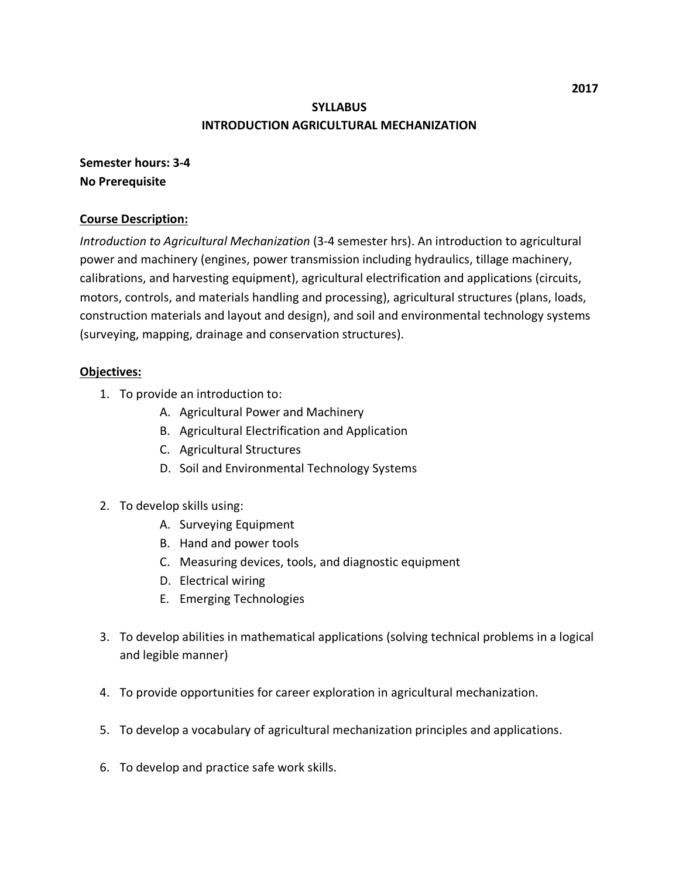# **SYLLABUS INTRODUCTION AGRICULTURAL MECHANIZATION**

**Semester hours: 3-4 No Prerequisite**

# **Course Description:**

*Introduction to Agricultural Mechanization* (3-4 semester hrs). An introduction to agricultural power and machinery (engines, power transmission including hydraulics, tillage machinery, calibrations, and harvesting equipment), agricultural electrification and applications (circuits, motors, controls, and materials handling and processing), agricultural structures (plans, loads, construction materials and layout and design), and soil and environmental technology systems (surveying, mapping, drainage and conservation structures).

# **Objectives:**

- 1. To provide an introduction to:
	- A. Agricultural Power and Machinery
	- B. Agricultural Electrification and Application
	- C. Agricultural Structures
	- D. Soil and Environmental Technology Systems
- 2. To develop skills using:
	- A. Surveying Equipment
	- B. Hand and power tools
	- C. Measuring devices, tools, and diagnostic equipment
	- D. Electrical wiring
	- E. Emerging Technologies
- 3. To develop abilities in mathematical applications (solving technical problems in a logical and legible manner)
- 4. To provide opportunities for career exploration in agricultural mechanization.
- 5. To develop a vocabulary of agricultural mechanization principles and applications.
- 6. To develop and practice safe work skills.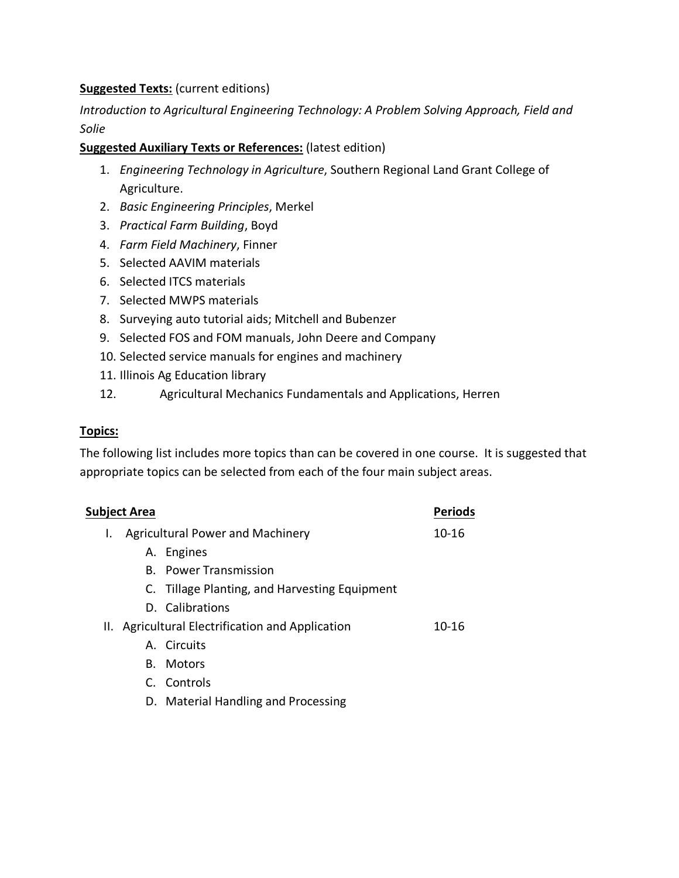# **Suggested Texts:** (current editions)

*Introduction to Agricultural Engineering Technology: A Problem Solving Approach, Field and Solie*

# **Suggested Auxiliary Texts or References:** (latest edition)

- 1. *Engineering Technology in Agriculture*, Southern Regional Land Grant College of Agriculture.
- 2. *Basic Engineering Principles*, Merkel
- 3. *Practical Farm Building*, Boyd
- 4. *Farm Field Machinery*, Finner
- 5. Selected AAVIM materials
- 6. Selected ITCS materials
- 7. Selected MWPS materials
- 8. Surveying auto tutorial aids; Mitchell and Bubenzer
- 9. Selected FOS and FOM manuals, John Deere and Company
- 10. Selected service manuals for engines and machinery
- 11. Illinois Ag Education library
- 12. Agricultural Mechanics Fundamentals and Applications, Herren

# **Topics:**

The following list includes more topics than can be covered in one course. It is suggested that appropriate topics can be selected from each of the four main subject areas.

| Subject Area<br><b>Periods</b>                   |           |  |
|--------------------------------------------------|-----------|--|
| <b>Agricultural Power and Machinery</b><br>ı.    | 10-16     |  |
| A. Engines                                       |           |  |
| <b>B.</b> Power Transmission                     |           |  |
| C. Tillage Planting, and Harvesting Equipment    |           |  |
| D. Calibrations                                  |           |  |
| II. Agricultural Electrification and Application | $10 - 16$ |  |
| A. Circuits                                      |           |  |
| B. Motors                                        |           |  |
| C. Controls                                      |           |  |
| D. Material Handling and Processing              |           |  |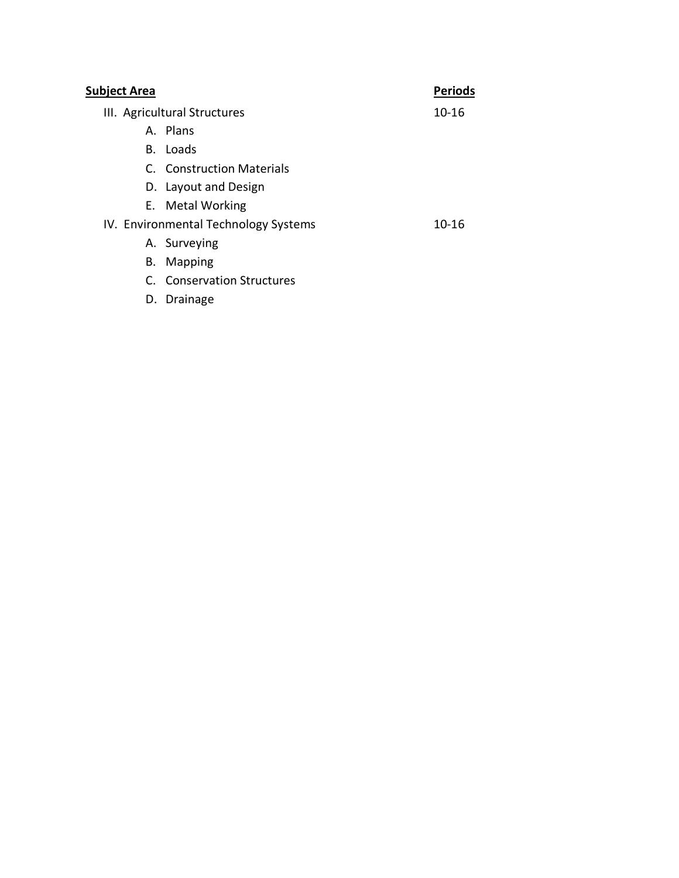| Subject Area |                                      | <b>Periods</b> |
|--------------|--------------------------------------|----------------|
|              | III. Agricultural Structures         | $10 - 16$      |
|              | A. Plans                             |                |
|              | B. Loads                             |                |
|              | C. Construction Materials            |                |
|              | D. Layout and Design                 |                |
|              | E. Metal Working                     |                |
|              | IV. Environmental Technology Systems | 10-16          |
|              | A. Surveying                         |                |
|              | B. Mapping                           |                |
|              | C. Conservation Structures           |                |
|              | D. Drainage                          |                |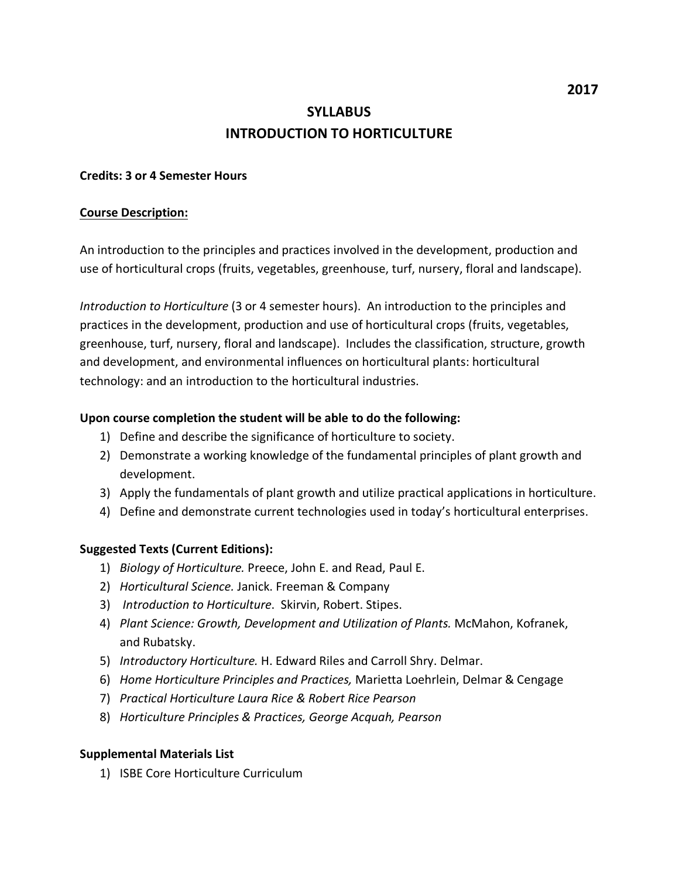# **SYLLABUS INTRODUCTION TO HORTICULTURE**

## **Credits: 3 or 4 Semester Hours**

## **Course Description:**

An introduction to the principles and practices involved in the development, production and use of horticultural crops (fruits, vegetables, greenhouse, turf, nursery, floral and landscape).

*Introduction to Horticulture* (3 or 4 semester hours). An introduction to the principles and practices in the development, production and use of horticultural crops (fruits, vegetables, greenhouse, turf, nursery, floral and landscape). Includes the classification, structure, growth and development, and environmental influences on horticultural plants: horticultural technology: and an introduction to the horticultural industries.

## **Upon course completion the student will be able to do the following:**

- 1) Define and describe the significance of horticulture to society.
- 2) Demonstrate a working knowledge of the fundamental principles of plant growth and development.
- 3) Apply the fundamentals of plant growth and utilize practical applications in horticulture.
- 4) Define and demonstrate current technologies used in today's horticultural enterprises.

## **Suggested Texts (Current Editions):**

- 1) *Biology of Horticulture.* Preece, John E. and Read, Paul E.
- 2) *Horticultural Science.* Janick. Freeman & Company
- 3) *Introduction to Horticulture*. Skirvin, Robert. Stipes.
- 4) *Plant Science: Growth, Development and Utilization of Plants.* McMahon, Kofranek, and Rubatsky.
- 5) *Introductory Horticulture.* H. Edward Riles and Carroll Shry. Delmar.
- 6) *Home Horticulture Principles and Practices,* Marietta Loehrlein, Delmar & Cengage
- 7) *Practical Horticulture Laura Rice & Robert Rice Pearson*
- 8) *Horticulture Principles & Practices, George Acquah, Pearson*

#### **Supplemental Materials List**

1) ISBE Core Horticulture Curriculum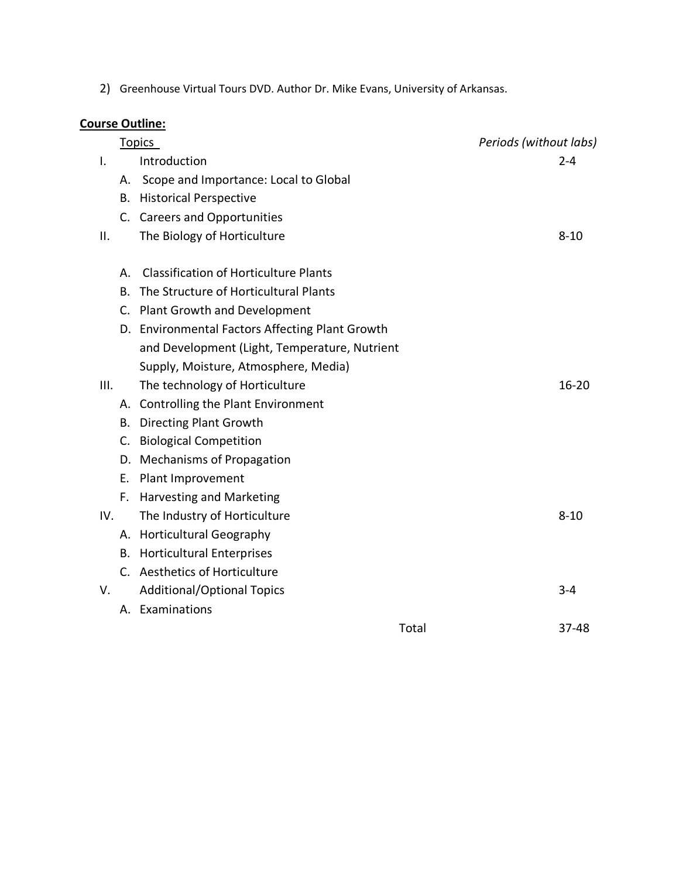2) Greenhouse Virtual Tours DVD. Author Dr. Mike Evans, University of Arkansas.

# **Course Outline:**

|      | <b>Topics</b> |                                                 | Periods (without labs) |  |
|------|---------------|-------------------------------------------------|------------------------|--|
| I.   | Introduction  |                                                 | $2 - 4$                |  |
|      | А.            | Scope and Importance: Local to Global           |                        |  |
|      | В.            | <b>Historical Perspective</b>                   |                        |  |
|      |               | C. Careers and Opportunities                    |                        |  |
| ΙΙ.  |               | The Biology of Horticulture                     | $8 - 10$               |  |
|      | Α.            | <b>Classification of Horticulture Plants</b>    |                        |  |
|      | В.            | The Structure of Horticultural Plants           |                        |  |
|      | C.            | Plant Growth and Development                    |                        |  |
|      |               | D. Environmental Factors Affecting Plant Growth |                        |  |
|      |               | and Development (Light, Temperature, Nutrient   |                        |  |
|      |               | Supply, Moisture, Atmosphere, Media)            |                        |  |
| III. |               | The technology of Horticulture                  | $16 - 20$              |  |
|      |               | A. Controlling the Plant Environment            |                        |  |
|      | В.            | <b>Directing Plant Growth</b>                   |                        |  |
|      | C.            | <b>Biological Competition</b>                   |                        |  |
|      | D.            | <b>Mechanisms of Propagation</b>                |                        |  |
|      |               | E. Plant Improvement                            |                        |  |
|      | F.            | Harvesting and Marketing                        |                        |  |
| IV.  |               | The Industry of Horticulture                    | $8 - 10$               |  |
|      |               | A. Horticultural Geography                      |                        |  |
|      | В.            | <b>Horticultural Enterprises</b>                |                        |  |
|      |               | C. Aesthetics of Horticulture                   |                        |  |
| V.   |               | <b>Additional/Optional Topics</b>               | $3 - 4$                |  |
|      |               | A. Examinations                                 |                        |  |
|      |               | Total                                           | 37-48                  |  |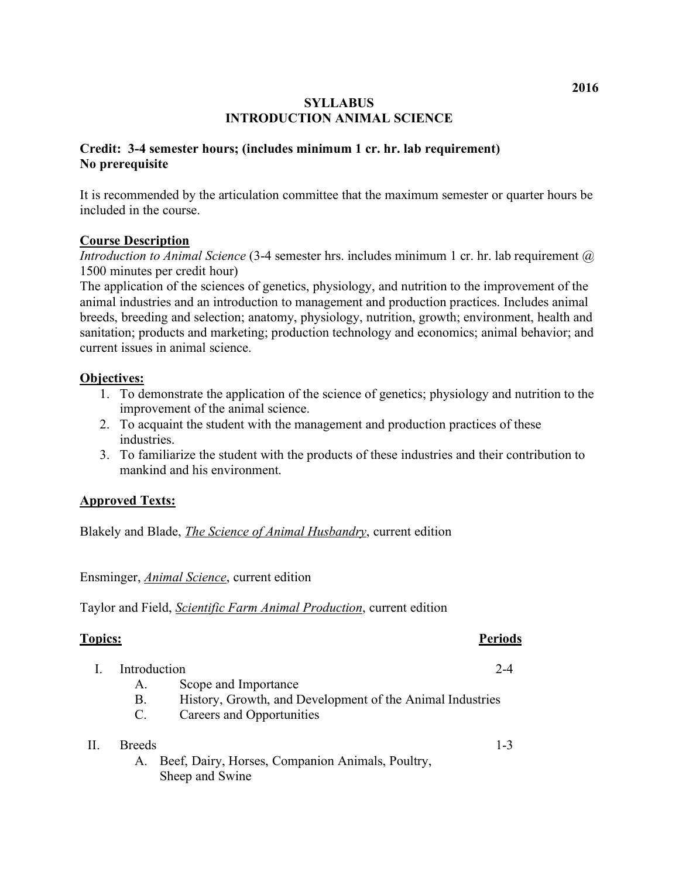## **SYLLABUS INTRODUCTION ANIMAL SCIENCE**

# **Credit: 3-4 semester hours; (includes minimum 1 cr. hr. lab requirement) No prerequisite**

It is recommended by the articulation committee that the maximum semester or quarter hours be included in the course.

# **Course Description**

*Introduction to Animal Science* (3-4 semester hrs. includes minimum 1 cr. hr. lab requirement @ 1500 minutes per credit hour)

The application of the sciences of genetics, physiology, and nutrition to the improvement of the animal industries and an introduction to management and production practices. Includes animal breeds, breeding and selection; anatomy, physiology, nutrition, growth; environment, health and sanitation; products and marketing; production technology and economics; animal behavior; and current issues in animal science.

# **Objectives:**

- 1. To demonstrate the application of the science of genetics; physiology and nutrition to the improvement of the animal science.
- 2. To acquaint the student with the management and production practices of these industries.
- 3. To familiarize the student with the products of these industries and their contribution to mankind and his environment.

# **Approved Texts:**

Blakely and Blade, *The Science of Animal Husbandry*, current edition

Ensminger, *Animal Science*, current edition

Taylor and Field, *Scientific Farm Animal Production*, current edition

## **Topics: Periods**

| Introduction |                      |  |
|--------------|----------------------|--|
|              | Scope and Importance |  |

- B. History, Growth, and Development of the Animal Industries
- C. Careers and Opportunities

| II. Breeds                                         |  |  |
|----------------------------------------------------|--|--|
| . Beef. Dairy. Horses. Companion Animals. Poultry. |  |  |

et, Dairy, Horses, Companion Animals, Poultry, Sheep and Swine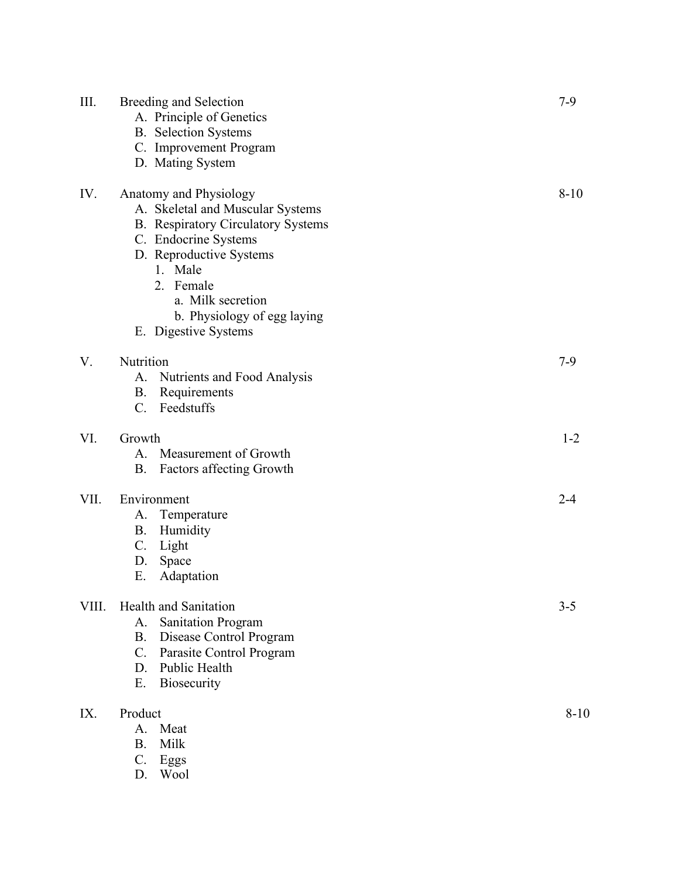| III.  | Breeding and Selection                       | $7-9$    |
|-------|----------------------------------------------|----------|
|       | A. Principle of Genetics                     |          |
|       | <b>B.</b> Selection Systems                  |          |
|       | C. Improvement Program                       |          |
|       | D. Mating System                             |          |
| IV.   | Anatomy and Physiology                       | $8 - 10$ |
|       | A. Skeletal and Muscular Systems             |          |
|       | <b>B.</b> Respiratory Circulatory Systems    |          |
|       | C. Endocrine Systems                         |          |
|       | D. Reproductive Systems                      |          |
|       | 1. Male                                      |          |
|       | 2. Female                                    |          |
|       | a. Milk secretion                            |          |
|       | b. Physiology of egg laying                  |          |
|       | E. Digestive Systems                         |          |
| V.    | Nutrition                                    | $7-9$    |
|       | A. Nutrients and Food Analysis               |          |
|       | Requirements<br><b>B.</b>                    |          |
|       | $C_{\cdot}$<br>Feedstuffs                    |          |
| VI.   | Growth                                       | $1 - 2$  |
|       | Measurement of Growth<br>A.                  |          |
|       | <b>B.</b><br><b>Factors affecting Growth</b> |          |
| VII.  | Environment                                  | $2 - 4$  |
|       | Temperature<br>А.                            |          |
|       | Humidity<br><b>B.</b>                        |          |
|       | Light<br>C.                                  |          |
|       | Space<br>D.                                  |          |
|       | Ε.<br>Adaptation                             |          |
| VIII. | <b>Health and Sanitation</b>                 | $3 - 5$  |
|       | <b>Sanitation Program</b><br>A.              |          |
|       | Disease Control Program<br><b>B.</b>         |          |
|       | $\mathcal{C}$ .<br>Parasite Control Program  |          |
|       | Public Health<br>D.                          |          |
|       | Ε.<br><b>Biosecurity</b>                     |          |
| IX.   | Product                                      | $8 - 10$ |
|       | Meat<br>A.                                   |          |
|       | Milk<br><b>B</b> .                           |          |
|       | $C_{\cdot}$<br>Eggs                          |          |
|       | D.<br>Wool                                   |          |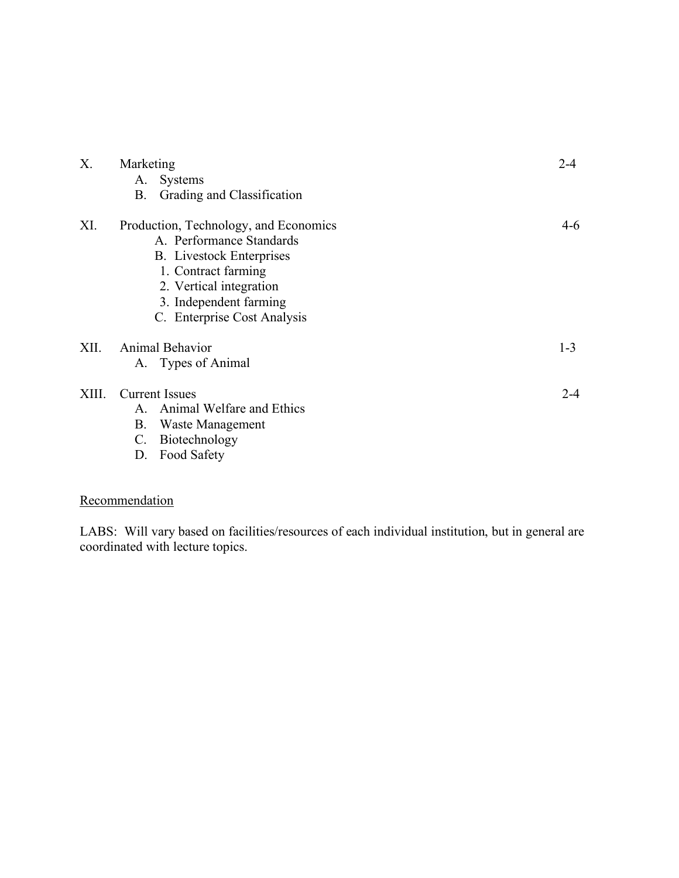| Х.    | Marketing<br><b>Systems</b><br>А.<br>Grading and Classification<br>В.                                                                                                                                           | $2 - 4$ |
|-------|-----------------------------------------------------------------------------------------------------------------------------------------------------------------------------------------------------------------|---------|
| XI.   | Production, Technology, and Economics<br>A. Performance Standards<br><b>B.</b> Livestock Enterprises<br>1. Contract farming<br>2. Vertical integration<br>3. Independent farming<br>C. Enterprise Cost Analysis | 4-6     |
| XII.  | Animal Behavior<br>A. Types of Animal                                                                                                                                                                           | $1 - 3$ |
| XIII. | <b>Current Issues</b><br>Animal Welfare and Ethics<br>$\mathsf{A}$<br>Waste Management<br>B.<br>Biotechnology<br>$C_{\cdot}$<br>Food Safety<br>D.                                                               | $2 - 4$ |

# **Recommendation**

LABS: Will vary based on facilities/resources of each individual institution, but in general are coordinated with lecture topics.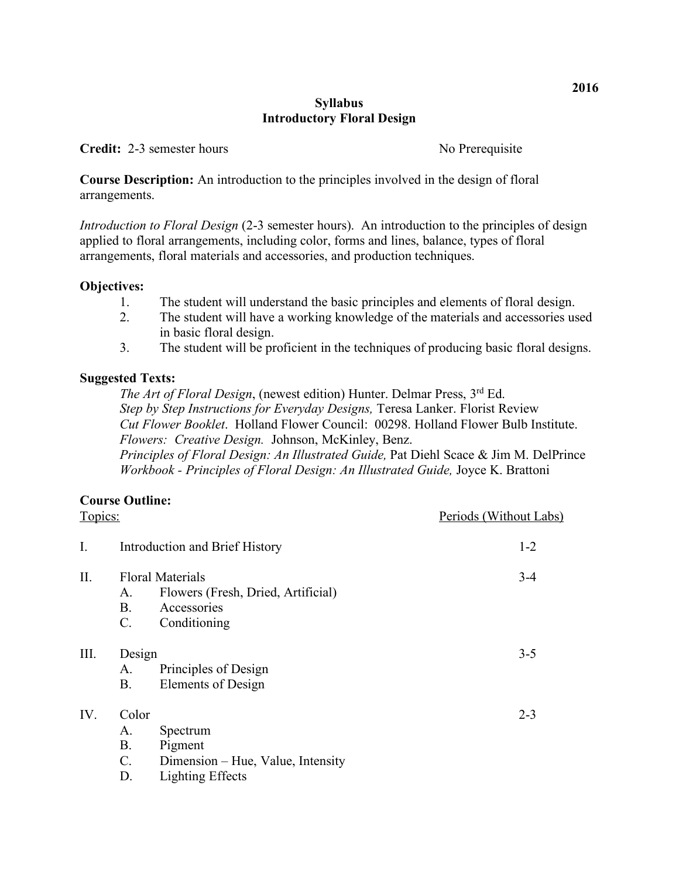# **Syllabus Introductory Floral Design**

**Credit:** 2-3 semester hours No Prerequisite

**Course Description:** An introduction to the principles involved in the design of floral arrangements.

*Introduction to Floral Design* (2-3 semester hours). An introduction to the principles of design applied to floral arrangements, including color, forms and lines, balance, types of floral arrangements, floral materials and accessories, and production techniques.

# **Objectives:**

- 1. The student will understand the basic principles and elements of floral design.
- 2. The student will have a working knowledge of the materials and accessories used in basic floral design.
- 3. The student will be proficient in the techniques of producing basic floral designs.

# **Suggested Texts:**

*The Art of Floral Design*, (newest edition) Hunter. Delmar Press, 3rd Ed. *Step by Step Instructions for Everyday Designs,* Teresa Lanker. Florist Review *Cut Flower Booklet*. Holland Flower Council: 00298. Holland Flower Bulb Institute. *Flowers: Creative Design.* Johnson, McKinley, Benz. *Principles of Floral Design: An Illustrated Guide,* Pat Diehl Scace & Jim M. DelPrince

*Workbook - Principles of Floral Design: An Illustrated Guide,* Joyce K. Brattoni

# **Course Outline:**

| Topics: |                                                   |                                                                                              | Periods (Without Labs) |
|---------|---------------------------------------------------|----------------------------------------------------------------------------------------------|------------------------|
| I.      | Introduction and Brief History                    |                                                                                              | $1 - 2$                |
| II.     | A.<br><b>B.</b><br>$\mathcal{C}$ .                | <b>Floral Materials</b><br>Flowers (Fresh, Dried, Artificial)<br>Accessories<br>Conditioning | $3-4$                  |
| III.    | Design<br>Α.<br><b>B.</b>                         | Principles of Design<br>Elements of Design                                                   | $3 - 5$                |
| IV.     | Color<br>A.<br><b>B.</b><br>$\mathcal{C}$ .<br>D. | Spectrum<br>Pigment<br>Dimension – Hue, Value, Intensity<br><b>Lighting Effects</b>          | $2 - 3$                |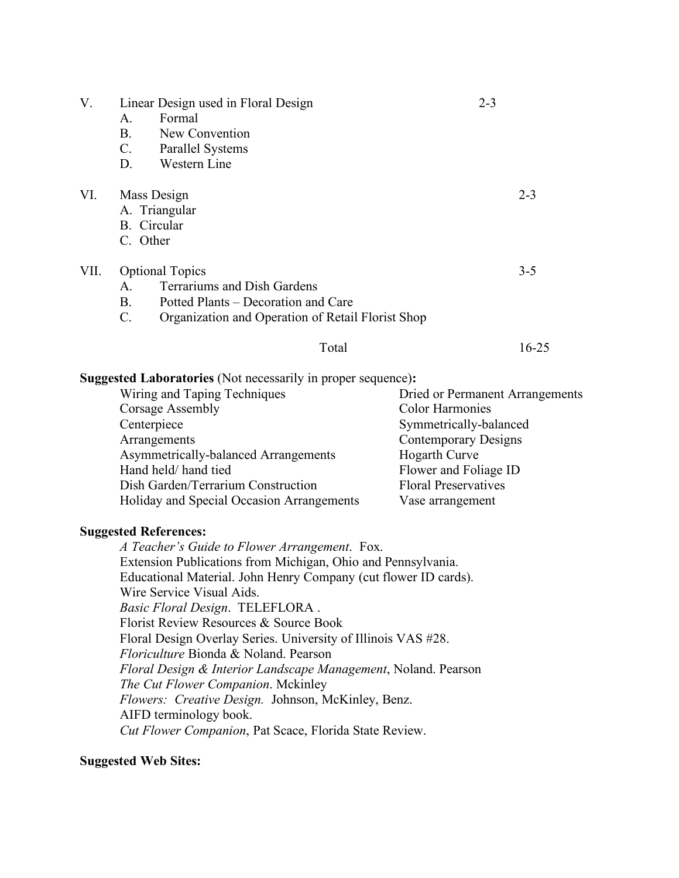| V.   | Linear Design used in Floral Design                                                      | $2 - 3$                         |  |  |
|------|------------------------------------------------------------------------------------------|---------------------------------|--|--|
|      | Formal<br>А.                                                                             |                                 |  |  |
|      | <b>B.</b><br>New Convention<br>$C_{\cdot}$                                               |                                 |  |  |
|      | <b>Parallel Systems</b><br>D.<br>Western Line                                            |                                 |  |  |
|      |                                                                                          |                                 |  |  |
| VI.  | Mass Design                                                                              | $2 - 3$                         |  |  |
|      | A. Triangular                                                                            |                                 |  |  |
|      | B. Circular                                                                              |                                 |  |  |
|      | C. Other                                                                                 |                                 |  |  |
| VII. | <b>Optional Topics</b>                                                                   | $3 - 5$                         |  |  |
|      | Terrariums and Dish Gardens<br>A.                                                        |                                 |  |  |
|      | <b>B.</b><br>Potted Plants – Decoration and Care                                         |                                 |  |  |
|      | $\mathcal{C}$ .<br>Organization and Operation of Retail Florist Shop                     |                                 |  |  |
|      | Total                                                                                    | $16 - 25$                       |  |  |
|      | <b>Suggested Laboratories</b> (Not necessarily in proper sequence):                      |                                 |  |  |
|      | Wiring and Taping Techniques                                                             | Dried or Permanent Arrangements |  |  |
|      | Corsage Assembly                                                                         | <b>Color Harmonies</b>          |  |  |
|      | Centerpiece                                                                              | Symmetrically-balanced          |  |  |
|      | Arrangements                                                                             | <b>Contemporary Designs</b>     |  |  |
|      | <b>Asymmetrically-balanced Arrangements</b>                                              | <b>Hogarth Curve</b>            |  |  |
|      | Hand held/hand tied                                                                      | Flower and Foliage ID           |  |  |
|      | Dish Garden/Terrarium Construction                                                       | <b>Floral Preservatives</b>     |  |  |
|      | Holiday and Special Occasion Arrangements                                                | Vase arrangement                |  |  |
|      | <b>Suggested References:</b>                                                             |                                 |  |  |
|      | A Teacher's Guide to Flower Arrangement. Fox.                                            |                                 |  |  |
|      | Extension Publications from Michigan, Ohio and Pennsylvania.                             |                                 |  |  |
|      | Educational Material. John Henry Company (cut flower ID cards).                          |                                 |  |  |
|      | Wire Service Visual Aids.                                                                |                                 |  |  |
|      | Basic Floral Design. TELEFLORA.                                                          |                                 |  |  |
|      | Florist Review Resources & Source Book                                                   |                                 |  |  |
|      | Floral Design Overlay Series. University of Illinois VAS #28.                            |                                 |  |  |
|      | Floriculture Bionda & Noland. Pearson                                                    |                                 |  |  |
|      | Floral Design & Interior Landscape Management, Noland. Pearson                           |                                 |  |  |
|      | The Cut Flower Companion. Mckinley<br>Flowers: Creative Design. Johnson, McKinley, Benz. |                                 |  |  |
|      | AIFD terminology book.                                                                   |                                 |  |  |
|      |                                                                                          |                                 |  |  |

*Cut Flower Companion*, Pat Scace, Florida State Review.

# **Suggested Web Sites:**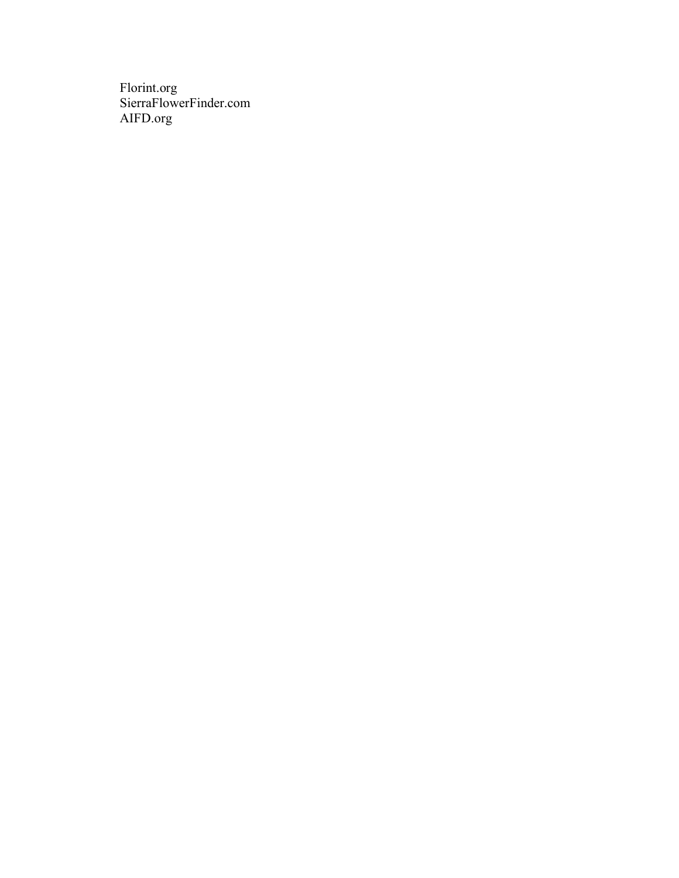Florint.org SierraFlowerFinder.com AIFD.org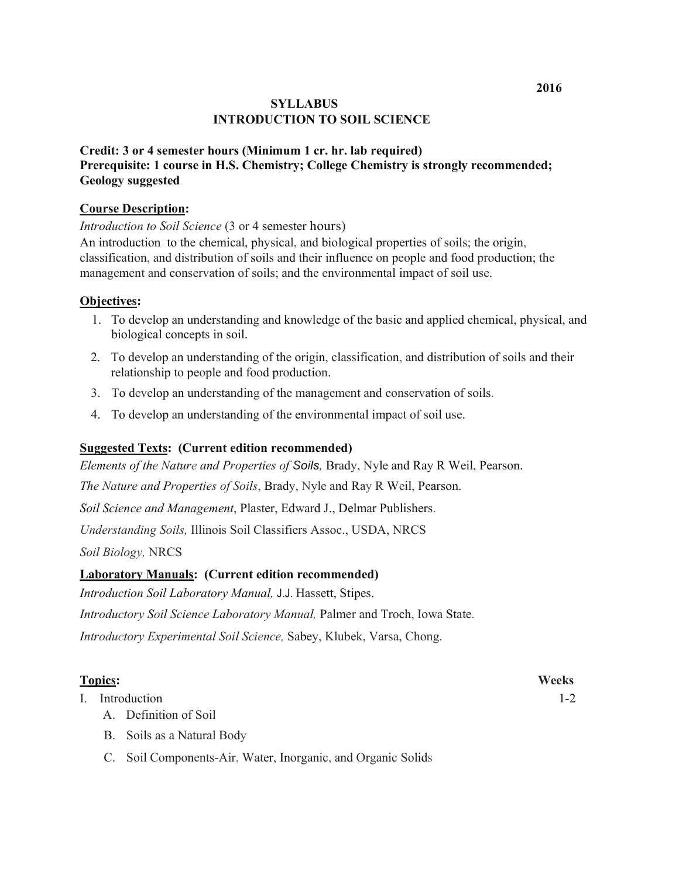# **SYLLABUS INTRODUCTION TO SOIL SCIENCE**

# **Credit: 3 or 4 semester hours (Minimum 1 cr. hr. lab required) Prerequisite: 1 course in H.S. Chemistry; College Chemistry is strongly recommended; Geology suggested**

## **Course Description:**

## *Introduction to Soil Science* (3 or 4 semester hours)

An introduction to the chemical, physical, and biological properties of soils; the origin, classification, and distribution of soils and their influence on people and food production; the management and conservation of soils; and the environmental impact of soil use.

## **Objectives:**

- 1. To develop an understanding and knowledge of the basic and applied chemical, physical, and biological concepts in soil.
- 2. To develop an understanding of the origin, classification, and distribution of soils and their relationship to people and food production.
- 3. To develop an understanding of the management and conservation of soils.
- 4. To develop an understanding of the environmental impact of soil use.

## **Suggested Texts: (Current edition recommended)**

*Elements of the Nature and Properties of Soils,* Brady, Nyle and Ray R Weil, Pearson. *The Nature and Properties of Soils*, Brady, Nyle and Ray R Weil, Pearson. *Soil Science and Management*, Plaster, Edward J., Delmar Publishers. *Understanding Soils,* Illinois Soil Classifiers Assoc., USDA, NRCS *Soil Biology,* NRCS **Laboratory Manuals: (Current edition recommended)** 

*Introduction Soil Laboratory Manual,* J.J. Hassett, Stipes.

*Introductory Soil Science Laboratory Manual,* Palmer and Troch, Iowa State.

*Introductory Experimental Soil Science,* Sabey, Klubek, Varsa, Chong.

## **Topics: Weeks**

I. Introduction 1-2

- A. Definition of Soil
- B. Soils as a Natural Body
- C. Soil Components-Air, Water, Inorganic, and Organic Solids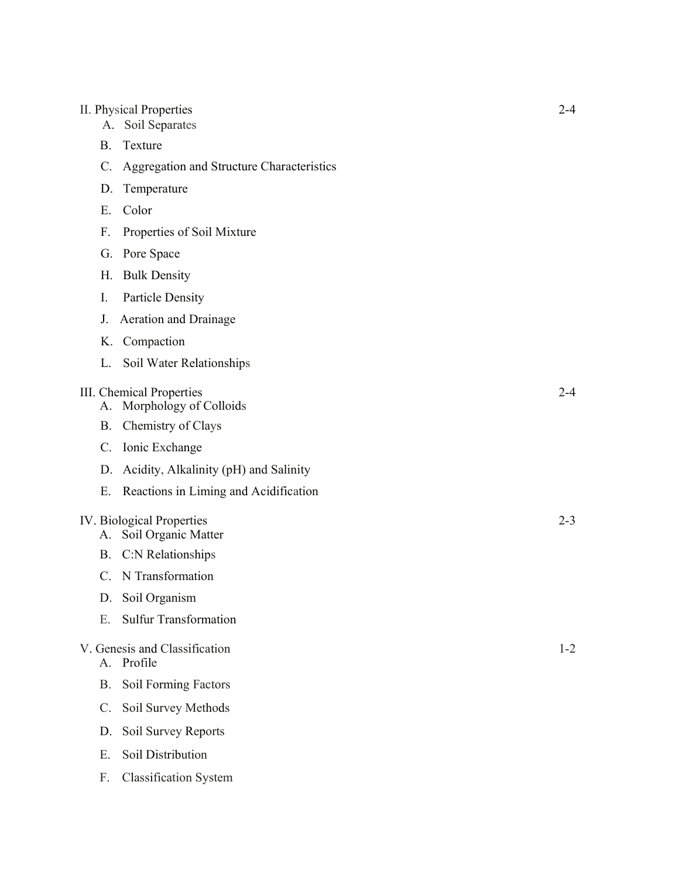## II. Physical Properties 2-4

- A. Soil Separates
- B. Texture
- C. Aggregation and Structure Characteristics
- D. Temperature
- E. Color
- F. Properties of Soil Mixture
- G. Pore Space
- H. Bulk Density
- I. Particle Density
- J. Aeration and Drainage
- K. Compaction
- L. Soil Water Relationships

#### III. Chemical Properties 2-4

- A. Morphology of Colloids
- B. Chemistry of Clays
- C. Ionic Exchange
- D. Acidity, Alkalinity (pH) and Salinity
- E. Reactions in Liming and Acidification

#### IV. Biological Properties 2-3

- A. Soil Organic Matter
- B. C:N Relationships
- C. N Transformation
- D. Soil Organism
- E. Sulfur Transformation

## V. Genesis and Classification 1-2

- A. Profile
- B. Soil Forming Factors
- C. Soil Survey Methods
- D. Soil Survey Reports
- E. Soil Distribution
- F. Classification System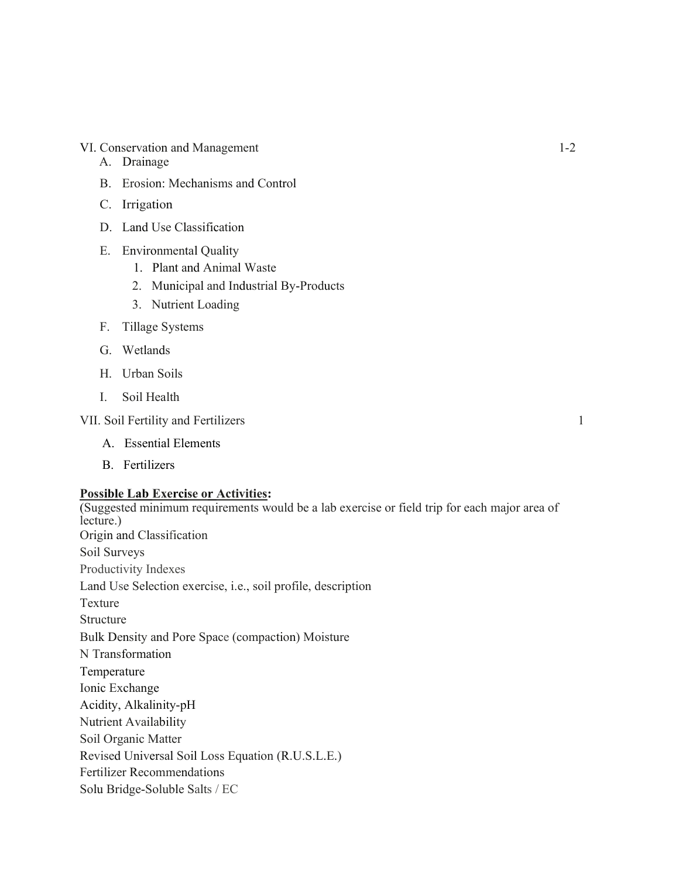VI. Conservation and Management 1-2

- A. Drainage
- B. Erosion: Mechanisms and Control
- C. Irrigation
- D. Land Use Classification
- E. Environmental Quality
	- 1. Plant and Animal Waste
	- 2. Municipal and Industrial By-Products
	- 3. Nutrient Loading
- F. Tillage Systems
- G. Wetlands
- H. Urban Soils
- I. Soil Health

VII. Soil Fertility and Fertilizers 1

- A. Essential Elements
- B. Fertilizers

## **Possible Lab Exercise or Activities:**

(Suggested minimum requirements would be a lab exercise or field trip for each major area of lecture.) Origin and Classification Soil Surveys Productivity Indexes Land Use Selection exercise, i.e., soil profile, description Texture Structure Bulk Density and Pore Space (compaction) Moisture N Transformation Temperature Ionic Exchange Acidity, Alkalinity-pH Nutrient Availability Soil Organic Matter Revised Universal Soil Loss Equation (R.U.S.L.E.) Fertilizer Recommendations Solu Bridge-Soluble Salts / EC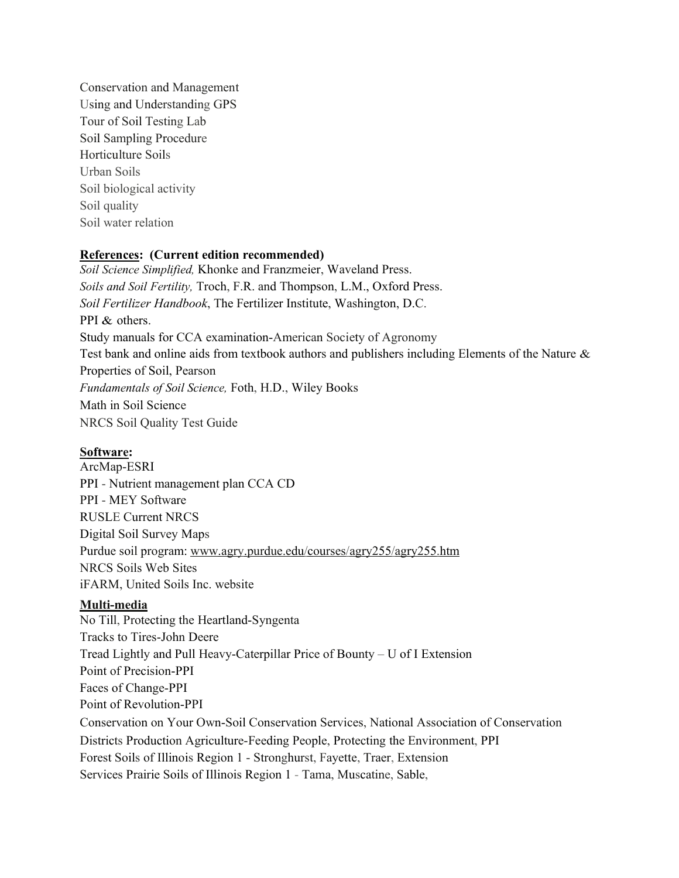Conservation and Management Using and Understanding GPS Tour of Soil Testing Lab Soil Sampling Procedure Horticulture Soils Urban Soils Soil biological activity Soil quality Soil water relation

## **References: (Current edition recommended)**

*Soil Science Simplified,* Khonke and Franzmeier, Waveland Press. *Soils and Soil Fertility,* Troch, F.R. and Thompson, L.M., Oxford Press. *Soil Fertilizer Handbook*, The Fertilizer Institute, Washington, D.C. PPI & others. Study manuals for CCA examination-American Society of Agronomy Test bank and online aids from textbook authors and publishers including Elements of the Nature & Properties of Soil, Pearson *Fundamentals of Soil Science,* Foth, H.D., Wiley Books Math in Soil Science NRCS Soil Quality Test Guide

## **Software:**

ArcMap-ESRI PPI - Nutrient management plan CCA CD PPI - MEY Software RUSLE Current NRCS Digital Soil Survey Maps Purdue soil program: www.agry.purdue.edu/courses/agry255/agry255.htm NRCS Soils Web Sites iFARM, United Soils Inc. website

## **Multi-media**

No Till, Protecting the Heartland-Syngenta Tracks to Tires-John Deere Tread Lightly and Pull Heavy-Caterpillar Price of Bounty – U of I Extension Point of Precision-PPI Faces of Change-PPI Point of Revolution-PPI Conservation on Your Own-Soil Conservation Services, National Association of Conservation Districts Production Agriculture-Feeding People, Protecting the Environment, PPI Forest Soils of Illinois Region 1 - Stronghurst, Fayette, Traer, Extension Services Prairie Soils of Illinois Region 1 - Tama, Muscatine, Sable,